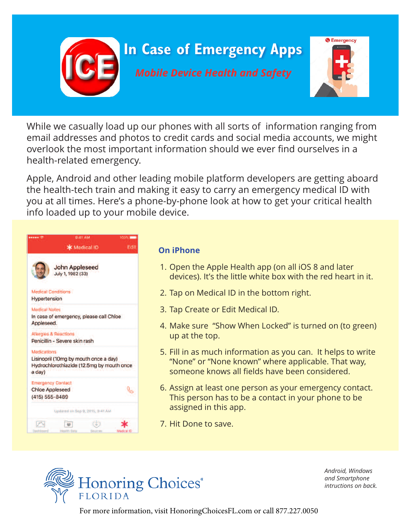

While we casually load up our phones with all sorts of information ranging from email addresses and photos to credit cards and social media accounts, we might overlook the most important information should we ever find ourselves in a health-related emergency.

Apple, Android and other leading mobile platform developers are getting aboard the health-tech train and making it easy to carry an emergency medical ID with you at all times. Here's a phone-by-phone look at how to get your critical health info loaded up to your mobile device.

|                                                                      | 9:41 AM<br>* Medical ID                                                            | <b>DOC/SC 100</b><br>Edit |
|----------------------------------------------------------------------|------------------------------------------------------------------------------------|---------------------------|
|                                                                      | <b>John Appleseed</b><br>July 1, 1982 (33)                                         |                           |
| Medical Conditions<br><b>Hypertension</b>                            |                                                                                    |                           |
| <b>Medical Notes</b><br>Appleseed.                                   | In case of emergency, please call Chloe                                            |                           |
| Allergies & Reactions                                                | Penicillin - Severe skin rash                                                      |                           |
| Medications:<br>a day)                                               | Lisinopril (10mg by mouth once a day)<br>Hydrochlorothiazide (12.5mg by mouth once |                           |
| <b>Emergency Contact</b><br><b>Chloe Appleseed</b><br>(415) 555-8489 |                                                                                    |                           |
|                                                                      | Updated on Sep 9, 2015, 9:41 AM                                                    |                           |
|                                                                      |                                                                                    |                           |

## **On iPhone**

- 1. Open the Apple Health app (on all iOS 8 and later devices). It's the little white box with the red heart in it.
- 2. Tap on Medical ID in the bottom right.
- 3. Tap Create or Edit Medical ID.
- 4. Make sure "Show When Locked" is turned on (to green) up at the top.
- 5. Fill in as much information as you can. It helps to write "None" or "None known" where applicable. That way, someone knows all fields have been considered.
- 6. Assign at least one person as your emergency contact. This person has to be a contact in your phone to be assigned in this app.
- 7. Hit Done to save.



*Android, Windows and Smartphone intructions on back.*

For more information, visit HonoringChoicesFL.com or call 877.227.0050